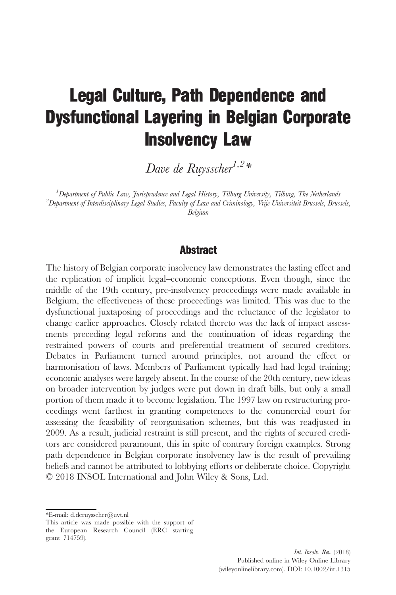# **Legal Culture, Path Dependence and Dysfunctional Layering in Belgian Corporate Insolvency Law**

Dave de Ruysscher<sup>1,2</sup>\*

<sup>1</sup> *Department of Public Law, Jurisprudence and Legal History, Tilburg University, Tilburg, The Netherlands*<br><sup>2</sup> Department of Interdisciplinary Legal Studies, Eaculty of Law and Criminalagy, Viria University Brussels, Br *Department of Interdisciplinary Legal Studies, Faculty of Law and Criminology, Vrije Universiteit Brussels, Brussels, Belgium*

# **Abstract**

The history of Belgian corporate insolvency law demonstrates the lasting effect and the replication of implicit legal–economic conceptions. Even though, since the middle of the 19th century, pre-insolvency proceedings were made available in Belgium, the effectiveness of these proceedings was limited. This was due to the dysfunctional juxtaposing of proceedings and the reluctance of the legislator to change earlier approaches. Closely related thereto was the lack of impact assessments preceding legal reforms and the continuation of ideas regarding the restrained powers of courts and preferential treatment of secured creditors. Debates in Parliament turned around principles, not around the effect or harmonisation of laws. Members of Parliament typically had had legal training; economic analyses were largely absent. In the course of the 20th century, new ideas on broader intervention by judges were put down in draft bills, but only a small portion of them made it to become legislation. The 1997 law on restructuring proceedings went farthest in granting competences to the commercial court for assessing the feasibility of reorganisation schemes, but this was readjusted in 2009. As a result, judicial restraint is still present, and the rights of secured creditors are considered paramount, this in spite of contrary foreign examples. Strong path dependence in Belgian corporate insolvency law is the result of prevailing beliefs and cannot be attributed to lobbying efforts or deliberate choice. Copyright © 2018 INSOL International and John Wiley & Sons, Ltd.

<sup>\*</sup>E-mail: d.deruysscher@uvt.nl

This article was made possible with the support of the European Research Council (ERC starting grant 714759).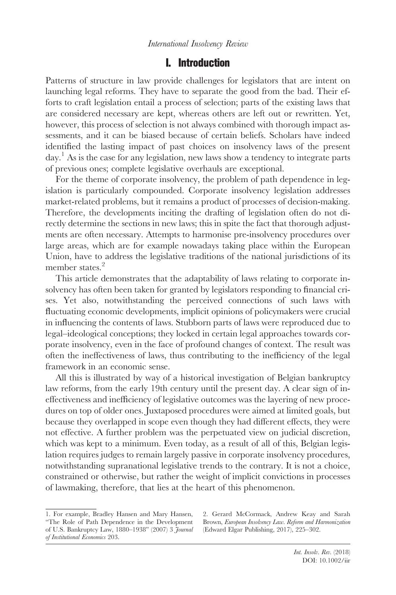## **I. Introduction**

Patterns of structure in law provide challenges for legislators that are intent on launching legal reforms. They have to separate the good from the bad. Their efforts to craft legislation entail a process of selection; parts of the existing laws that are considered necessary are kept, whereas others are left out or rewritten. Yet, however, this process of selection is not always combined with thorough impact assessments, and it can be biased because of certain beliefs. Scholars have indeed identified the lasting impact of past choices on insolvency laws of the present  $day<sup>1</sup>$ . As is the case for any legislation, new laws show a tendency to integrate parts of previous ones; complete legislative overhauls are exceptional.

For the theme of corporate insolvency, the problem of path dependence in legislation is particularly compounded. Corporate insolvency legislation addresses market-related problems, but it remains a product of processes of decision-making. Therefore, the developments inciting the drafting of legislation often do not directly determine the sections in new laws; this in spite the fact that thorough adjustments are often necessary. Attempts to harmonise pre-insolvency procedures over large areas, which are for example nowadays taking place within the European Union, have to address the legislative traditions of the national jurisdictions of its member states.<sup>2</sup>

This article demonstrates that the adaptability of laws relating to corporate insolvency has often been taken for granted by legislators responding to financial crises. Yet also, notwithstanding the perceived connections of such laws with fluctuating economic developments, implicit opinions of policymakers were crucial in influencing the contents of laws. Stubborn parts of laws were reproduced due to legal–ideological conceptions; they locked in certain legal approaches towards corporate insolvency, even in the face of profound changes of context. The result was often the ineffectiveness of laws, thus contributing to the inefficiency of the legal framework in an economic sense.

All this is illustrated by way of a historical investigation of Belgian bankruptcy law reforms, from the early 19th century until the present day. A clear sign of ineffectiveness and inefficiency of legislative outcomes was the layering of new procedures on top of older ones. Juxtaposed procedures were aimed at limited goals, but because they overlapped in scope even though they had different effects, they were not effective. A further problem was the perpetuated view on judicial discretion, which was kept to a minimum. Even today, as a result of all of this, Belgian legislation requires judges to remain largely passive in corporate insolvency procedures, notwithstanding supranational legislative trends to the contrary. It is not a choice, constrained or otherwise, but rather the weight of implicit convictions in processes of lawmaking, therefore, that lies at the heart of this phenomenon.

2. Gerard McCormack, Andrew Keay and Sarah Brown, *European Insolvency Law. Reform and Harmonization* (Edward Elgar Publishing, 2017), 225–302.

<sup>1.</sup> For example, Bradley Hansen and Mary Hansen, "The Role of Path Dependence in the Development of U.S. Bankruptcy Law, 1880–1938" (2007) 3 *Journal of Institutional Economics* 203.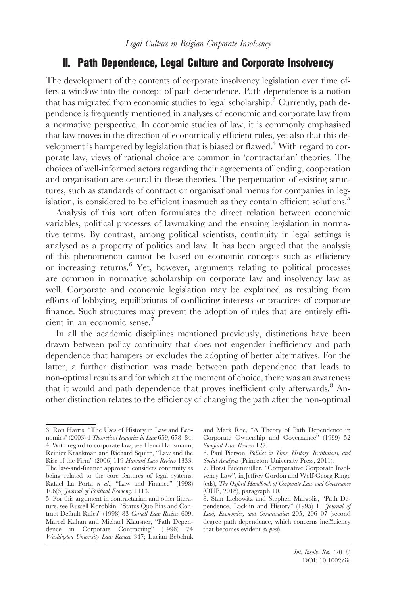# **II. Path Dependence, Legal Culture and Corporate Insolvency**

The development of the contents of corporate insolvency legislation over time offers a window into the concept of path dependence. Path dependence is a notion that has migrated from economic studies to legal scholarship.<sup>3</sup> Currently, path dependence is frequently mentioned in analyses of economic and corporate law from a normative perspective. In economic studies of law, it is commonly emphasised that law moves in the direction of economically efficient rules, yet also that this development is hampered by legislation that is biased or flawed.<sup>4</sup> With regard to corporate law, views of rational choice are common in 'contractarian' theories. The choices of well-informed actors regarding their agreements of lending, cooperation and organisation are central in these theories. The perpetuation of existing structures, such as standards of contract or organisational menus for companies in legislation, is considered to be efficient inasmuch as they contain efficient solutions. $<sup>5</sup>$ </sup>

Analysis of this sort often formulates the direct relation between economic variables, political processes of lawmaking and the ensuing legislation in normative terms. By contrast, among political scientists, continuity in legal settings is analysed as a property of politics and law. It has been argued that the analysis of this phenomenon cannot be based on economic concepts such as efficiency or increasing returns.<sup>6</sup> Yet, however, arguments relating to political processes are common in normative scholarship on corporate law and insolvency law as well. Corporate and economic legislation may be explained as resulting from efforts of lobbying, equilibriums of conflicting interests or practices of corporate finance. Such structures may prevent the adoption of rules that are entirely efficient in an economic sense.

In all the academic disciplines mentioned previously, distinctions have been drawn between policy continuity that does not engender inefficiency and path dependence that hampers or excludes the adopting of better alternatives. For the latter, a further distinction was made between path dependence that leads to non-optimal results and for which at the moment of choice, there was an awareness that it would and path dependence that proves inefficient only afterwards.<sup>8</sup> Another distinction relates to the efficiency of changing the path after the non-optimal

<sup>3.</sup> Ron Harris, "The Uses of History in Law and Economics" (2003) 4 *Theoretical Inquiries in Law* 659, 678–84. 4. With regard to corporate law, see Henri Hansmann, Reinier Kraakman and Richard Squire, "Law and the Rise of the Firm" (2006) 119 *Harvard Law Review* 1333. The law-and-finance approach considers continuity as being related to the core features of legal systems: Rafael La Porta *et al*., "Law and Finance" (1998) 106(6) *Journal of Political Economy* 1113.

<sup>5.</sup> For this argument in contractarian and other literature, see Russell Korobkin, "Status Quo Bias and Contract Default Rules" (1998) 83 *Cornell Law Review* 609; Marcel Kahan and Michael Klausner, "Path Dependence in Corporate Contracting" (1996) 74 *Washington University Law Review* 347; Lucian Bebchuk

and Mark Roe, "A Theory of Path Dependence in Corporate Ownership and Governance" (1999) 52 *Stanford Law Review* 127.

<sup>6.</sup> Paul Pierson, *Politics in Time. History, Institutions, and Social Analysis* (Princeton University Press, 2011).

<sup>7.</sup> Horst Eidenmüller, "Comparative Corporate Insolvency Law", in Jeffrey Gordon and Wolf-Georg Ringe (eds), *The Oxford Handbook of Corporate Law and Governance* (OUP, 2018), paragraph 10.

<sup>8.</sup> Stan Liebowitz and Stephen Margolis, "Path Dependence, Lock-in and History" (1995) 11 *Journal of Law, Economics, and Organization* 205, 206–07 (second degree path dependence, which concerns inefficiency that becomes evident *ex post*).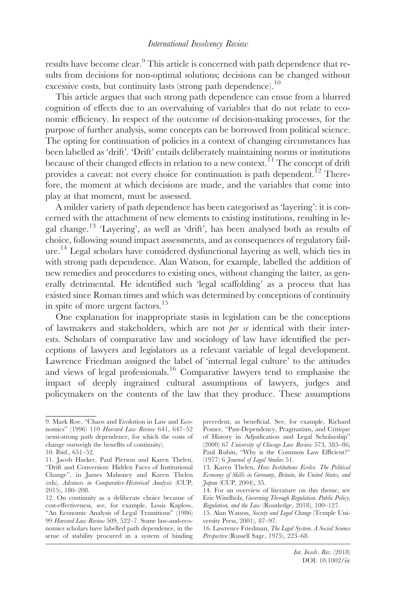results have become clear.<sup>9</sup> This article is concerned with path dependence that results from decisions for non-optimal solutions; decisions can be changed without excessive costs, but continuity lasts (strong path dependence).<sup>10</sup>

This article argues that such strong path dependence can ensue from a blurred cognition of effects due to an overvaluing of variables that do not relate to economic efficiency. In respect of the outcome of decision-making processes, for the purpose of further analysis, some concepts can be borrowed from political science. The opting for continuation of policies in a context of changing circumstances has been labelled as 'drift'. 'Drift' entails deliberately maintaining norms or institutions because of their changed effects in relation to a new context.<sup>11</sup> The concept of drift provides a caveat: not every choice for continuation is path dependent.<sup>12</sup> Therefore, the moment at which decisions are made, and the variables that come into play at that moment, must be assessed.

A milder variety of path dependence has been categorised as 'layering': it is concerned with the attachment of new elements to existing institutions, resulting in legal change.<sup>13</sup> 'Layering', as well as 'drift', has been analysed both as results of choice, following sound impact assessments, and as consequences of regulatory failure. <sup>14</sup> Legal scholars have considered dysfunctional layering as well, which ties in with strong path dependence. Alan Watson, for example, labelled the addition of new remedies and procedures to existing ones, without changing the latter, as generally detrimental. He identified such 'legal scaffolding' as a process that has existed since Roman times and which was determined by conceptions of continuity in spite of more urgent factors.<sup>15</sup>

One explanation for inappropriate stasis in legislation can be the conceptions of lawmakers and stakeholders, which are not *per se* identical with their interests. Scholars of comparative law and sociology of law have identified the perceptions of lawyers and legislators as a relevant variable of legal development. Lawrence Friedman assigned the label of 'internal legal culture' to the attitudes and views of legal professionals.<sup>16</sup> Comparative lawyers tend to emphasise the impact of deeply ingrained cultural assumptions of lawyers, judges and policymakers on the contents of the law that they produce. These assumptions

<sup>9.</sup> Mark Roe, "Chaos and Evolution in Law and Economics" (1996) 110 *Harvard Law Review* 641, 647–52 (semi-strong path dependence, for which the costs of change outweigh the benefits of continuity).

<sup>10.</sup> Ibid., 651–52.

<sup>11.</sup> Jacob Hacker, Paul Pierson and Karen Thelen, "Drift and Conversion: Hidden Faces of Institutional Change", in James Mahoney and Karen Thelen (eds), *Advances in Comparative-Historical Analysis* (CUP, 2015), 180–208.

<sup>12.</sup> On continuity as a deliberate choice because of cost-effectiveness, see, for example, Louis Kaplow, "An Economic Analysis of Legal Transitions" (1986) 99 *Harvard Law Review* 509, 522–7. Some law-and-economics scholars have labelled path dependence, in the sense of stability procured in a system of binding

precedent, as beneficial. See, for example, Richard Posner, "Past-Dependency, Pragmatism, and Critique of History in Adjudication and Legal Scholarship" (2000) 67 *University of Chicago Law Review* 573, 585–86; Paul Rubin, "Why is the Common Law Efficient?" (1977) 6 *Journal of Legal Studies* 51.

<sup>13.</sup> Karen Thelen, *How Institutions Evolve. The Political Economy of Skills in Germany, Britain, the United States, and Japan* (CUP, 2004), 35.

<sup>14.</sup> For an overview of literature on this theme, see Eric Windholz, *Governing Through Regulation. Public Policy, Regulation, and the Law* (Routledge, 2018), 100–127.

<sup>15.</sup> Alan Watson, *Society and Legal Change* (Temple University Press, 2001), 87–97.

<sup>16.</sup> Lawrence Friedman, *The Legal System. A Social Science Perspective* (Russell Sage, 1975), 223–68.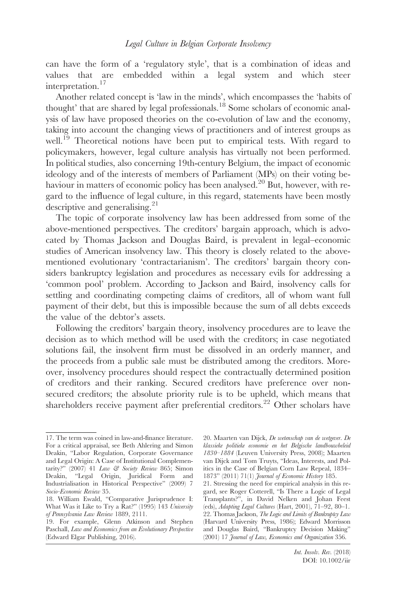can have the form of a 'regulatory style', that is a combination of ideas and values that are embedded within a legal system and which steer interpretation.<sup>17</sup>

Another related concept is 'law in the minds', which encompasses the 'habits of thought' that are shared by legal professionals.<sup>18</sup> Some scholars of economic analysis of law have proposed theories on the co-evolution of law and the economy, taking into account the changing views of practitioners and of interest groups as well.<sup>19</sup> Theoretical notions have been put to empirical tests. With regard to policymakers, however, legal culture analysis has virtually not been performed. In political studies, also concerning 19th-century Belgium, the impact of economic ideology and of the interests of members of Parliament (MPs) on their voting behaviour in matters of economic policy has been analysed.<sup>20</sup> But, however, with regard to the influence of legal culture, in this regard, statements have been mostly descriptive and generalising.<sup>21</sup>

The topic of corporate insolvency law has been addressed from some of the above-mentioned perspectives. The creditors' bargain approach, which is advocated by Thomas Jackson and Douglas Baird, is prevalent in legal–economic studies of American insolvency law. This theory is closely related to the abovementioned evolutionary 'contractarianism'. The creditors' bargain theory considers bankruptcy legislation and procedures as necessary evils for addressing a 'common pool' problem. According to Jackson and Baird, insolvency calls for settling and coordinating competing claims of creditors, all of whom want full payment of their debt, but this is impossible because the sum of all debts exceeds the value of the debtor's assets.

Following the creditors' bargain theory, insolvency procedures are to leave the decision as to which method will be used with the creditors; in case negotiated solutions fail, the insolvent firm must be dissolved in an orderly manner, and the proceeds from a public sale must be distributed among the creditors. Moreover, insolvency procedures should respect the contractually determined position of creditors and their ranking. Secured creditors have preference over nonsecured creditors; the absolute priority rule is to be upheld, which means that shareholders receive payment after preferential creditors.<sup>22</sup> Other scholars have

21. Stressing the need for empirical analysis in this regard, see Roger Cotterell, "Is There a Logic of Legal Transplants?", in David Nelken and Johan Feest (eds), *Adapting Legal Cultures* (Hart, 2001), 71–92, 80–1. 22. Thomas Jackson, *The Logic and Limits of Bankruptcy Law* (Harvard University Press, 1986); Edward Morrisson and Douglas Baird, "Bankruptcy Decision Making" (2001) 17 *Journal of Law, Economics and Organization* 356.

<sup>17.</sup> The term was coined in law-and-finance literature. For a critical appraisal, see Beth Ahlering and Simon Deakin, "Labor Regulation, Corporate Governance and Legal Origin: A Case of Institutional Complementarity?" (2007) 41 *Law & Society Review* 865; Simon Deakin, "Legal Origin, Juridical Form and Industrialisation in Historical Perspective" (2009) 7 *Socio-Economic Review* 35.

<sup>18.</sup> William Ewald, "Comparative Jurisprudence I: What Was it Like to Try a Rat?" (1995) 143 *University of Pennsylvania Law Review* 1889, 2111.

<sup>19.</sup> For example, Glenn Atkinson and Stephen Paschall, *Law and Economics from an Evolutionary Perspective* (Edward Elgar Publishing, 2016).

<sup>20.</sup> Maarten van Dijck, *De wetenschap van de wetgever. De klassieke politieke economie en het Belgische landbouwbeleid 1830–1884* (Leuven University Press, 2008); Maarten van Dijck and Tom Truyts, "Ideas, Interests, and Politics in the Case of Belgian Corn Law Repeal, 1834– 1873" (2011) 71(1) *Journal of Economic History* 185.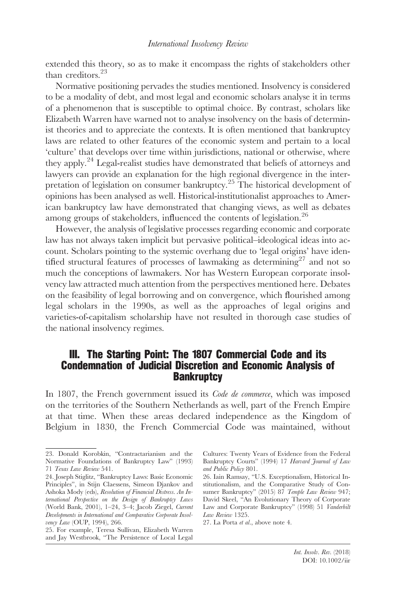extended this theory, so as to make it encompass the rights of stakeholders other than creditors.<sup>23</sup>

Normative positioning pervades the studies mentioned. Insolvency is considered to be a modality of debt, and most legal and economic scholars analyse it in terms of a phenomenon that is susceptible to optimal choice. By contrast, scholars like Elizabeth Warren have warned not to analyse insolvency on the basis of determinist theories and to appreciate the contexts. It is often mentioned that bankruptcy laws are related to other features of the economic system and pertain to a local 'culture' that develops over time within jurisdictions, national or otherwise, where they apply.<sup>24</sup> Legal-realist studies have demonstrated that beliefs of attorneys and lawyers can provide an explanation for the high regional divergence in the interpretation of legislation on consumer bankruptcy.<sup>25</sup> The historical development of opinions has been analysed as well. Historical-institutionalist approaches to American bankruptcy law have demonstrated that changing views, as well as debates among groups of stakeholders, influenced the contents of legislation.<sup>26</sup>

However, the analysis of legislative processes regarding economic and corporate law has not always taken implicit but pervasive political–ideological ideas into account. Scholars pointing to the systemic overhang due to 'legal origins' have identified structural features of processes of lawmaking as determining<sup>27</sup> and not so much the conceptions of lawmakers. Nor has Western European corporate insolvency law attracted much attention from the perspectives mentioned here. Debates on the feasibility of legal borrowing and on convergence, which flourished among legal scholars in the 1990s, as well as the approaches of legal origins and varieties-of-capitalism scholarship have not resulted in thorough case studies of the national insolvency regimes.

# **III. The Starting Point: The 1807 Commercial Code and its Condemnation of Judicial Discretion and Economic Analysis of Bankruptcy**

In 1807, the French government issued its *Code de commerce*, which was imposed on the territories of the Southern Netherlands as well, part of the French Empire at that time. When these areas declared independence as the Kingdom of Belgium in 1830, the French Commercial Code was maintained, without

Cultures: Twenty Years of Evidence from the Federal Bankruptcy Courts" (1994) 17 *Harvard Journal of Law and Public Policy* 801.

26. Iain Ramsay, "U.S. Exceptionalism, Historical Institutionalism, and the Comparative Study of Consumer Bankruptcy" (2015) 87 *Temple Law Review* 947; David Skeel, "An Evolutionary Theory of Corporate Law and Corporate Bankruptcy" (1998) 51 *Vanderbilt Law Review* 1325.

27. La Porta *et al*., above note 4.

<sup>23.</sup> Donald Korobkin, "Contractarianism and the Normative Foundations of Bankruptcy Law" (1993) 71 *Texas Law Review* 541.

<sup>24.</sup> Joseph Stiglitz, "Bankruptcy Laws: Basic Economic Principles", in Stijn Claessens, Simeon Djankov and Ashoka Mody (eds), *Resolution of Financial Distress. An International Perspective on the Design of Bankruptcy Laws* (World Bank, 2001), 1–24, 3–4; Jacob Ziegel, *Current Developments in International and Comparative Corporate Insolvency Law* (OUP, 1994), 266.

<sup>25.</sup> For example, Teresa Sullivan, Elizabeth Warren and Jay Westbrook, "The Persistence of Local Legal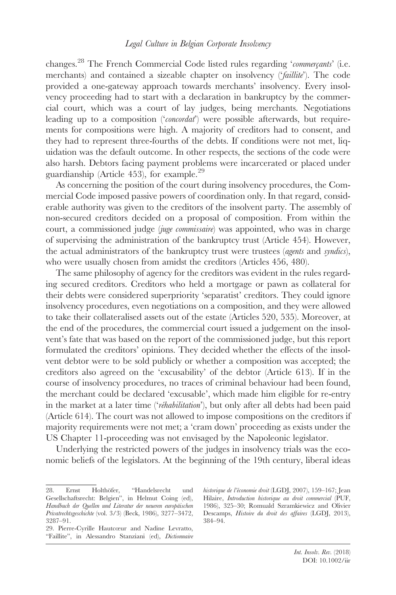changes.<sup>28</sup> The French Commercial Code listed rules regarding '*commerçants*' (i.e. merchants) and contained a sizeable chapter on insolvency ('*faillite*'). The code provided a one-gateway approach towards merchants' insolvency. Every insolvency proceeding had to start with a declaration in bankruptcy by the commercial court, which was a court of lay judges, being merchants. Negotiations leading up to a composition ('*concordat*') were possible afterwards, but requirements for compositions were high. A majority of creditors had to consent, and they had to represent three-fourths of the debts. If conditions were not met, liquidation was the default outcome. In other respects, the sections of the code were also harsh. Debtors facing payment problems were incarcerated or placed under guardianship (Article 453), for example.<sup>29</sup>

As concerning the position of the court during insolvency procedures, the Commercial Code imposed passive powers of coordination only. In that regard, considerable authority was given to the creditors of the insolvent party. The assembly of non-secured creditors decided on a proposal of composition. From within the court, a commissioned judge (*juge commissaire*) was appointed, who was in charge of supervising the administration of the bankruptcy trust (Article 454). However, the actual administrators of the bankruptcy trust were trustees (*agents* and *syndics*), who were usually chosen from amidst the creditors (Articles 456, 480).

The same philosophy of agency for the creditors was evident in the rules regarding secured creditors. Creditors who held a mortgage or pawn as collateral for their debts were considered superpriority 'separatist' creditors. They could ignore insolvency procedures, even negotiations on a composition, and they were allowed to take their collateralised assets out of the estate (Articles 520, 535). Moreover, at the end of the procedures, the commercial court issued a judgement on the insolvent's fate that was based on the report of the commissioned judge, but this report formulated the creditors' opinions. They decided whether the effects of the insolvent debtor were to be sold publicly or whether a composition was accepted; the creditors also agreed on the 'excusability' of the debtor (Article 613). If in the course of insolvency procedures, no traces of criminal behaviour had been found, the merchant could be declared 'excusable', which made him eligible for re-entry in the market at a later time ('*réhabilitation*'), but only after all debts had been paid (Article 614). The court was not allowed to impose compositions on the creditors if majority requirements were not met; a 'cram down' proceeding as exists under the US Chapter 11-proceeding was not envisaged by the Napoleonic legislator.

Underlying the restricted powers of the judges in insolvency trials was the economic beliefs of the legislators. At the beginning of the 19th century, liberal ideas

*historique de l'économie droit* (LGDJ, 2007), 159–167; Jean Hilaire, *Introduction historique au droit commercial* (PUF, 1986), 325–30; Romuald Szramkiewicz and Olivier Descamps, *Histoire du droit des affaires* (LGDJ, 2013), 384–94.

<sup>28.</sup> Ernst Holthöfer, "Handelsrecht und Gesellschaftsrecht: Belgien", in Helmut Coing (ed), *Handbuch der Quellen und Literatur der neueren europäischen Privatrechtsgeschichte* (vol. 3/3) (Beck, 1986), 3277–3472, 3287–91.

<sup>29.</sup> Pierre-Cyrille Hautcœur and Nadine Levratto, "Faillite", in Alessandro Stanziani (ed), *Dictionnaire*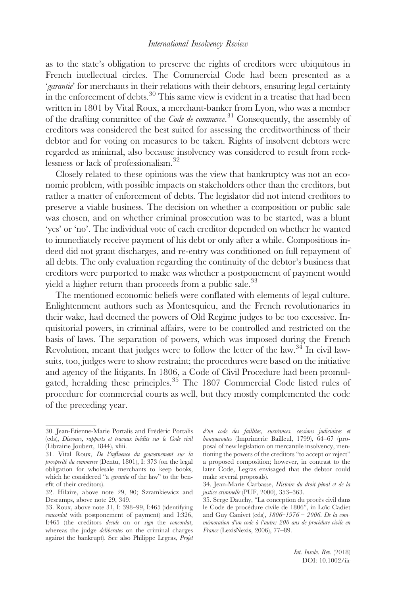#### *International Insolvency Review*

as to the state's obligation to preserve the rights of creditors were ubiquitous in French intellectual circles. The Commercial Code had been presented as a '*garantie*' for merchants in their relations with their debtors, ensuring legal certainty in the enforcement of debts.<sup>30</sup> This same view is evident in a treatise that had been written in 1801 by Vital Roux, a merchant-banker from Lyon, who was a member of the drafting committee of the *Code de commerce*. <sup>31</sup> Consequently, the assembly of creditors was considered the best suited for assessing the creditworthiness of their debtor and for voting on measures to be taken. Rights of insolvent debtors were regarded as minimal, also because insolvency was considered to result from recklessness or lack of professionalism.<sup>32</sup>

Closely related to these opinions was the view that bankruptcy was not an economic problem, with possible impacts on stakeholders other than the creditors, but rather a matter of enforcement of debts. The legislator did not intend creditors to preserve a viable business. The decision on whether a composition or public sale was chosen, and on whether criminal prosecution was to be started, was a blunt 'yes' or 'no'. The individual vote of each creditor depended on whether he wanted to immediately receive payment of his debt or only after a while. Compositions indeed did not grant discharges, and re-entry was conditioned on full repayment of all debts. The only evaluation regarding the continuity of the debtor's business that creditors were purported to make was whether a postponement of payment would yield a higher return than proceeds from a public sale.<sup>33</sup>

The mentioned economic beliefs were conflated with elements of legal culture. Enlightenment authors such as Montesquieu, and the French revolutionaries in their wake, had deemed the powers of Old Regime judges to be too excessive. Inquisitorial powers, in criminal affairs, were to be controlled and restricted on the basis of laws. The separation of powers, which was imposed during the French Revolution, meant that judges were to follow the letter of the law.<sup>34</sup> In civil lawsuits, too, judges were to show restraint; the procedures were based on the initiative and agency of the litigants. In 1806, a Code of Civil Procedure had been promulgated, heralding these principles.<sup>35</sup> The 1807 Commercial Code listed rules of procedure for commercial courts as well, but they mostly complemented the code of the preceding year.

*d'un code des faillites, surséances, cessions judiciaires et banqueroutes* (Imprimerie Bailleul, 1799), 64–67 (proposal of new legislation on mercantile insolvency, mentioning the powers of the creditors "to accept or reject" a proposed composition; however, in contrast to the later Code, Legras envisaged that the debtor could make several proposals).

35. Serge Dauchy, "La conception du procès civil dans le Code de procédure civile de 1806", in Loïc Cadiet and Guy Canivet (eds), *1806–1976 – 2006. De la commémoration d'un code à l'autre: 200 ans de procédure civile en France* (LexisNexis, 2006), 77–89.

<sup>30.</sup> Jean-Etienne-Marie Portalis and Frédéric Portalis (eds), *Discours, rapports et travaux inédits sur le Code civil* (Librairie Joubert, 1844), xliii.

<sup>31.</sup> Vital Roux, *De l'influence du gouvernement sur la prosperité du commerce* (Dentu, 1801), I: 373 (on the legal obligation for wholesale merchants to keep books, which he considered "a *garantie* of the law" to the benefit of their creditors).

<sup>32.</sup> Hilaire, above note 29, 90; Szramkiewicz and Descamps, above note 29, 349.

<sup>33.</sup> Roux, above note 31, I: 398–99, I:465 (identifying *concordat* with postponement of payment) and I:326, I:465 (the creditors *decide* on or *sign* the *concordat*, whereas the judge *deliberates* on the criminal charges against the bankrupt). See also Philippe Legras, *Projet*

<sup>34.</sup> Jean-Marie Carbasse, *Histoire du droit pénal et de la justice criminelle* (PUF, 2000), 353–363.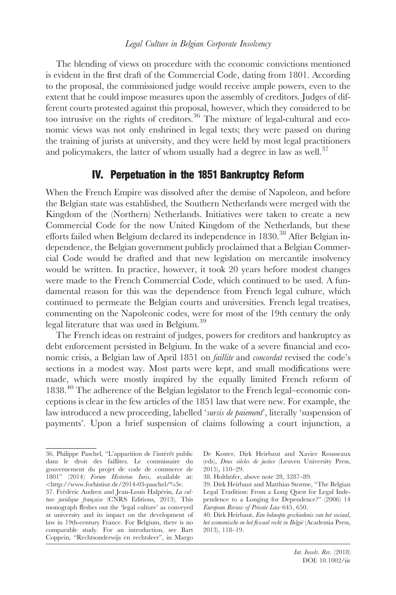The blending of views on procedure with the economic convictions mentioned is evident in the first draft of the Commercial Code, dating from 1801. According to the proposal, the commissioned judge would receive ample powers, even to the extent that he could impose measures upon the assembly of creditors. Judges of different courts protested against this proposal, however, which they considered to be too intrusive on the rights of creditors.<sup>36</sup> The mixture of legal-cultural and economic views was not only enshrined in legal texts; they were passed on during the training of jurists at university, and they were held by most legal practitioners and policymakers, the latter of whom usually had a degree in law as well. $37$ 

# **IV. Perpetuation in the 1851 Bankruptcy Reform**

When the French Empire was dissolved after the demise of Napoleon, and before the Belgian state was established, the Southern Netherlands were merged with the Kingdom of the (Northern) Netherlands. Initiatives were taken to create a new Commercial Code for the now United Kingdom of the Netherlands, but these efforts failed when Belgium declared its independence in 1830.<sup>38</sup> After Belgian independence, the Belgian government publicly proclaimed that a Belgian Commercial Code would be drafted and that new legislation on mercantile insolvency would be written. In practice, however, it took 20 years before modest changes were made to the French Commercial Code, which continued to be used. A fundamental reason for this was the dependence from French legal culture, which continued to permeate the Belgian courts and universities. French legal treatises, commenting on the Napoleonic codes, were for most of the 19th century the only legal literature that was used in Belgium.<sup>39</sup>

The French ideas on restraint of judges, powers for creditors and bankruptcy as debt enforcement persisted in Belgium. In the wake of a severe financial and economic crisis, a Belgian law of April 1851 on *faillite* and *concordat* revised the code's sections in a modest way. Most parts were kept, and small modifications were made, which were mostly inspired by the equally limited French reform of 1838.<sup>40</sup> The adherence of the Belgian legislator to the French legal–economic conceptions is clear in the few articles of the 1851 law that were new. For example, the law introduced a new proceeding, labelled '*sursis de paiement*', literally 'suspension of payments'. Upon a brief suspension of claims following a court injunction, a

De Koster, Dirk Heirbaut and Xavier Rousseaux (eds), *Deux siècles de justice* (Leuven University Press, 2015), 110–29.

<sup>36.</sup> Philippe Paschel, "L'apparition de l'intérêt public dans le droit des faillites. Le commissaire du gouvernement du projet de code de commerce de 1801" (2014) *Forum Historiae Iuris*, available at: *<*[http://www.forhistiur.de/2014-03-paschel/%3e.](http://www.forhistiur.de/2014-03-paschel/%3e)

<sup>37.</sup> Frédéric Audren and Jean-Louis Halpérin, *La culture juridique française* (CNRS Editions, 2013). This monograph fleshes out the 'legal culture' as conveyed at university and its impact on the development of law in 19th-century France. For Belgium, there is no comparable study. For an introduction, see Bart Coppein, "Rechtsonderwijs en rechtsleer", in Margo

<sup>38.</sup> Holthöfer, above note 28, 3287–89.

<sup>39.</sup> Dirk Heirbaut and Matthias Storme, "The Belgian Legal Tradition: From a Long Quest for Legal Independence to a Longing for Dependence?" (2006) 14 *European Review of Private Law* 645, 650.

<sup>40.</sup> Dirk Heirbaut, *Een beknopte geschiedenis van het sociaal, het economische en het fiscaal recht in België* (Academia Press, 2013), 118–19.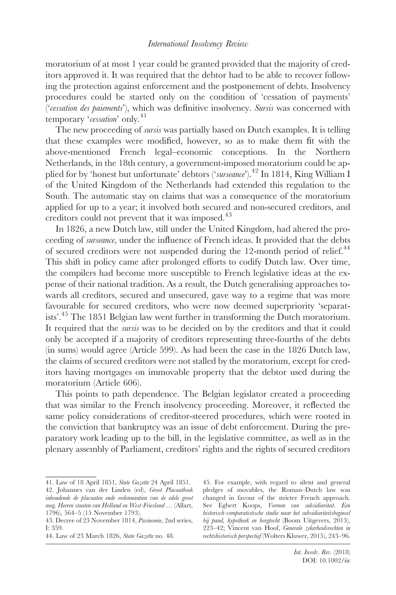moratorium of at most 1 year could be granted provided that the majority of creditors approved it. It was required that the debtor had to be able to recover following the protection against enforcement and the postponement of debts. Insolvency procedures could be started only on the condition of 'cessation of payments' ('*cessation des paiements*'), which was definitive insolvency. *Sursis* was concerned with temporary '*cessation*' only.<sup>41</sup>

The new proceeding of *sursis* was partially based on Dutch examples. It is telling that these examples were modified, however, so as to make them fit with the above-mentioned French legal–economic conceptions. In the Northern Netherlands, in the 18th century, a government-imposed moratorium could be applied for by 'honest but unfortunate' debtors ('*surseance*').<sup>42</sup> In 1814, King William I of the United Kingdom of the Netherlands had extended this regulation to the South. The automatic stay on claims that was a consequence of the moratorium applied for up to a year; it involved both secured and non-secured creditors, and creditors could not prevent that it was imposed.<sup>43</sup>

In 1826, a new Dutch law, still under the United Kingdom, had altered the proceeding of *surseance*, under the influence of French ideas. It provided that the debts of secured creditors were not suspended during the 12-month period of relief.<sup>44</sup> This shift in policy came after prolonged efforts to codify Dutch law. Over time, the compilers had become more susceptible to French legislative ideas at the expense of their national tradition. As a result, the Dutch generalising approaches towards all creditors, secured and unsecured, gave way to a regime that was more favourable for secured creditors, who were now deemed superpriority 'separatists'. <sup>45</sup> The 1851 Belgian law went further in transforming the Dutch moratorium. It required that the *sursis* was to be decided on by the creditors and that it could only be accepted if a majority of creditors representing three-fourths of the debts (in sums) would agree (Article 599). As had been the case in the 1826 Dutch law, the claims of secured creditors were not stalled by the moratorium, except for creditors having mortgages on immovable property that the debtor used during the moratorium (Article 606).

This points to path dependence. The Belgian legislator created a proceeding that was similar to the French insolvency proceeding. Moreover, it reflected the same policy considerations of creditor-steered procedures, which were rooted in the conviction that bankruptcy was an issue of debt enforcement. During the preparatory work leading up to the bill, in the legislative committee, as well as in the plenary assembly of Parliament, creditors' rights and the rights of secured creditors

45. For example, with regard to silent and general pledges of movables, the Roman–Dutch law was changed in favour of the stricter French approach. See Egbert Koops, *Vormen van subsidiariteit. Een historisch-comparatistische studie naar het subsidiariteitsbeginsel bij pand, hypotheek en borgtocht* (Boom Uitgevers, 2013), 223–42; Vincent van Hoof, *Generale zekerheidsrechten in rechtshistorisch perspectief* (Wolters Kluwer, 2015), 243–96.

<sup>41.</sup> Law of 18 April 1851, *State Gazette* 24 April 1851.

<sup>42.</sup> Johannes van der Linden (ed), *Groot Placaatboek inhoudende de placaaten ende ordonnantien van de edele groot mog. Heeren staaten van Holland en West-Friesland …* (Allart, 1796), 564–5 (15 November 1793).

<sup>43.</sup> Decree of 23 November 1814, *Pasinomie*, 2nd series, I: 359.

<sup>44.</sup> Law of 23 March 1826, *State Gazette* no. 48.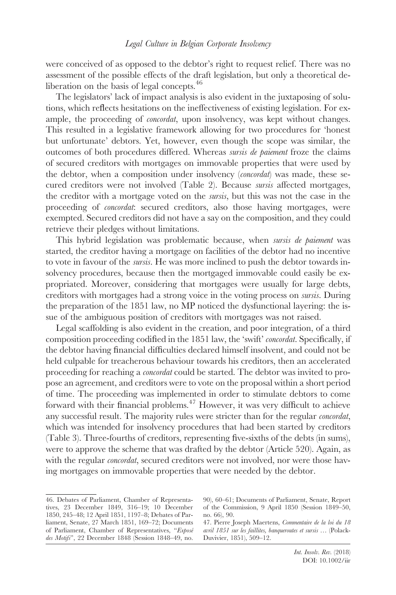were conceived of as opposed to the debtor's right to request relief. There was no assessment of the possible effects of the draft legislation, but only a theoretical deliberation on the basis of legal concepts.<sup>46</sup>

The legislators' lack of impact analysis is also evident in the juxtaposing of solutions, which reflects hesitations on the ineffectiveness of existing legislation. For example, the proceeding of *concordat*, upon insolvency, was kept without changes. This resulted in a legislative framework allowing for two procedures for 'honest but unfortunate' debtors. Yet, however, even though the scope was similar, the outcomes of both procedures differed. Whereas *sursis de paiement* froze the claims of secured creditors with mortgages on immovable properties that were used by the debtor, when a composition under insolvency (*concordat*) was made, these secured creditors were not involved (Table 2). Because *sursis* affected mortgages, the creditor with a mortgage voted on the *sursis*, but this was not the case in the proceeding of *concordat*: secured creditors, also those having mortgages, were exempted. Secured creditors did not have a say on the composition, and they could retrieve their pledges without limitations.

This hybrid legislation was problematic because, when *sursis de paiement* was started, the creditor having a mortgage on facilities of the debtor had no incentive to vote in favour of the *sursis*. He was more inclined to push the debtor towards insolvency procedures, because then the mortgaged immovable could easily be expropriated. Moreover, considering that mortgages were usually for large debts, creditors with mortgages had a strong voice in the voting process on *sursis*. During the preparation of the 1851 law, no MP noticed the dysfunctional layering: the issue of the ambiguous position of creditors with mortgages was not raised.

Legal scaffolding is also evident in the creation, and poor integration, of a third composition proceeding codified in the 1851 law, the 'swift' *concordat*. Specifically, if the debtor having financial difficulties declared himself insolvent, and could not be held culpable for treacherous behaviour towards his creditors, then an accelerated proceeding for reaching a *concordat* could be started. The debtor was invited to propose an agreement, and creditors were to vote on the proposal within a short period of time. The proceeding was implemented in order to stimulate debtors to come forward with their financial problems.<sup>47</sup> However, it was very difficult to achieve any successful result. The majority rules were stricter than for the regular *concordat*, which was intended for insolvency procedures that had been started by creditors (Table 3). Three-fourths of creditors, representing five-sixths of the debts (in sums), were to approve the scheme that was drafted by the debtor (Article 520). Again, as with the regular *concordat*, secured creditors were not involved, nor were those having mortgages on immovable properties that were needed by the debtor.

<sup>46.</sup> Debates of Parliament, Chamber of Representatives, 23 December 1849, 316–19; 10 December 1850, 245–48; 12 April 1851, 1197–8; Debates of Parliament, Senate, 27 March 1851, 169–72; Documents of Parliament, Chamber of Representatives, "*Exposé des Motifs*", 22 December 1848 (Session 1848–49, no.

<sup>90), 60</sup>–61; Documents of Parliament, Senate, Report of the Commission, 9 April 1850 (Session 1849–50, no. 66), 90.

<sup>47.</sup> Pierre Joseph Maertens, *Commentaire de la loi du 18 avril 1851 sur les faillites, banqueroutes et sursis …* (Polack-Duvivier, 1851), 509–12.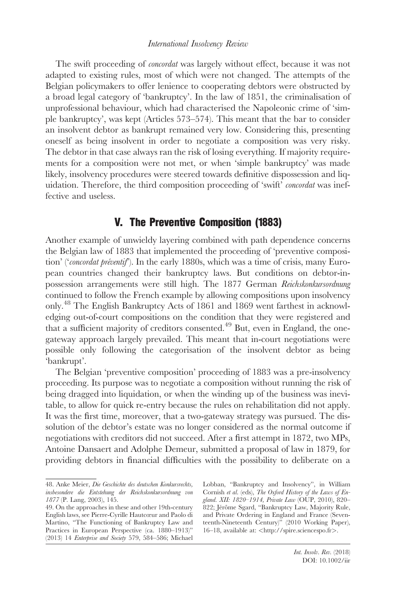## *International Insolvency Review*

The swift proceeding of *concordat* was largely without effect, because it was not adapted to existing rules, most of which were not changed. The attempts of the Belgian policymakers to offer lenience to cooperating debtors were obstructed by a broad legal category of 'bankruptcy'. In the law of 1851, the criminalisation of unprofessional behaviour, which had characterised the Napoleonic crime of 'simple bankruptcy', was kept (Articles 573–574). This meant that the bar to consider an insolvent debtor as bankrupt remained very low. Considering this, presenting oneself as being insolvent in order to negotiate a composition was very risky. The debtor in that case always ran the risk of losing everything. If majority requirements for a composition were not met, or when 'simple bankruptcy' was made likely, insolvency procedures were steered towards definitive dispossession and liquidation. Therefore, the third composition proceeding of 'swift' *concordat* was ineffective and useless.

# **V. The Preventive Composition (1883)**

Another example of unwieldy layering combined with path dependence concerns the Belgian law of 1883 that implemented the proceeding of 'preventive composition' ('*concordat préventif*'). In the early 1880s, which was a time of crisis, many European countries changed their bankruptcy laws. But conditions on debtor-inpossession arrangements were still high. The 1877 German *Reichskonkursordnung* continued to follow the French example by allowing compositions upon insolvency only.<sup>48</sup> The English Bankruptcy Acts of 1861 and 1869 went farthest in acknowledging out-of-court compositions on the condition that they were registered and that a sufficient majority of creditors consented.<sup>49</sup> But, even in England, the onegateway approach largely prevailed. This meant that in-court negotiations were possible only following the categorisation of the insolvent debtor as being 'bankrupt'.

The Belgian 'preventive composition' proceeding of 1883 was a pre-insolvency proceeding. Its purpose was to negotiate a composition without running the risk of being dragged into liquidation, or when the winding up of the business was inevitable, to allow for quick re-entry because the rules on rehabilitation did not apply. It was the first time, moreover, that a two-gateway strategy was pursued. The dissolution of the debtor's estate was no longer considered as the normal outcome if negotiations with creditors did not succeed. After a first attempt in 1872, two MPs, Antoine Dansaert and Adolphe Demeur, submitted a proposal of law in 1879, for providing debtors in financial difficulties with the possibility to deliberate on a

Lobban, "Bankruptcy and Insolvency", in William Cornish *et al*. (eds), *The Oxford History of the Laws of England. XII: 1820–1914, Private Law* (OUP, 2010), 820– 822; Jérôme Sgard, "Bankruptcy Law, Majority Rule, and Private Ordering in England and France (Seventeenth-Nineteenth Century)" (2010 Working Paper), 16–18, available at: *<*<http://spire.sciencespo.fr>*>*.

<sup>48.</sup> Anke Meier, *Die Geschichte des deutschen Konkursrechts, insbesondere die Entstehung der Reichskonkursordnung von 1877* (P. Lang, 2003), 145.

<sup>49.</sup> On the approaches in these and other 19th-century English laws, see Pierre-Cyrille Hautcœur and Paolo di Martino, "The Functioning of Bankruptcy Law and Practices in European Perspective (ca. 1880–1913)" (2013) 14 *Enterprise and Society* 579, 584–586; Michael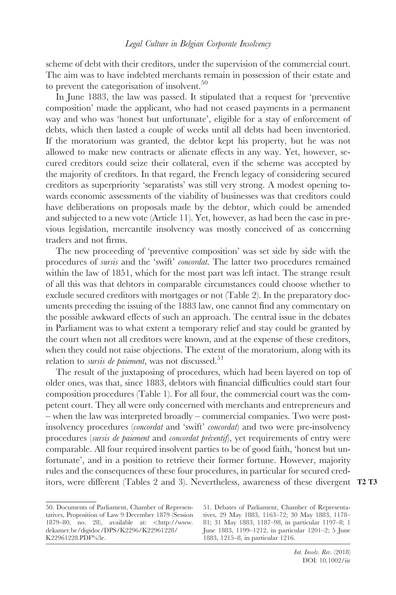scheme of debt with their creditors, under the supervision of the commercial court. The aim was to have indebted merchants remain in possession of their estate and to prevent the categorisation of insolvent. $50$ 

In June 1883, the law was passed. It stipulated that a request for 'preventive composition' made the applicant, who had not ceased payments in a permanent way and who was 'honest but unfortunate', eligible for a stay of enforcement of debts, which then lasted a couple of weeks until all debts had been inventoried. If the moratorium was granted, the debtor kept his property, but he was not allowed to make new contracts or alienate effects in any way. Yet, however, secured creditors could seize their collateral, even if the scheme was accepted by the majority of creditors. In that regard, the French legacy of considering secured creditors as superpriority 'separatists' was still very strong. A modest opening towards economic assessments of the viability of businesses was that creditors could have deliberations on proposals made by the debtor, which could be amended and subjected to a new vote (Article 11). Yet, however, as had been the case in previous legislation, mercantile insolvency was mostly conceived of as concerning traders and not firms.

The new proceeding of 'preventive composition' was set side by side with the procedures of *sursis* and the 'swift' *concordat*. The latter two procedures remained within the law of 1851, which for the most part was left intact. The strange result of all this was that debtors in comparable circumstances could choose whether to exclude secured creditors with mortgages or not (Table 2). In the preparatory documents preceding the issuing of the 1883 law, one cannot find any commentary on the possible awkward effects of such an approach. The central issue in the debates in Parliament was to what extent a temporary relief and stay could be granted by the court when not all creditors were known, and at the expense of these creditors, when they could not raise objections. The extent of the moratorium, along with its relation to *sursis de paiement*, was not discussed.<sup>51</sup>

The result of the juxtaposing of procedures, which had been layered on top of older ones, was that, since 1883, debtors with financial difficulties could start four composition procedures (Table 1). For all four, the commercial court was the competent court. They all were only concerned with merchants and entrepreneurs and – when the law was interpreted broadly – commercial companies. Two were postinsolvency procedures (*concordat* and 'swift' *concordat*) and two were pre-insolvency procedures (*sursis de paiement* and *concordat préventif*), yet requirements of entry were comparable. All four required insolvent parties to be of good faith, 'honest but unfortunate', and in a position to retrieve their former fortune. However, majority rules and the consequences of these four procedures, in particular for secured creditors, were different (Tables 2 and 3). Nevertheless, awareness of these divergent **T2 T3**

51. Debates of Parliament, Chamber of Representatives, 29 May 1883, 1163–72; 30 May 1883, 1178– 81; 31 May 1883, 1187–98, in particular 1197–8; 1 June 1883, 1199–1212, in particular 1201–2; 5 June 1883, 1215–8, in particular 1216.

<sup>50.</sup> Documents of Parliament, Chamber of Representatives, Proposition of Law 9 December 1879 (Session 1879–80, no. 28), available at: *<*[http://www.](http://www.dekamer.be/digidoc/DPS/K2296/K22961228/K22961228.PDF%3e) [dekamer.be/digidoc/DPS/K2296/K22961228/](http://www.dekamer.be/digidoc/DPS/K2296/K22961228/K22961228.PDF%3e) [K22961228.PDF%3e](http://www.dekamer.be/digidoc/DPS/K2296/K22961228/K22961228.PDF%3e).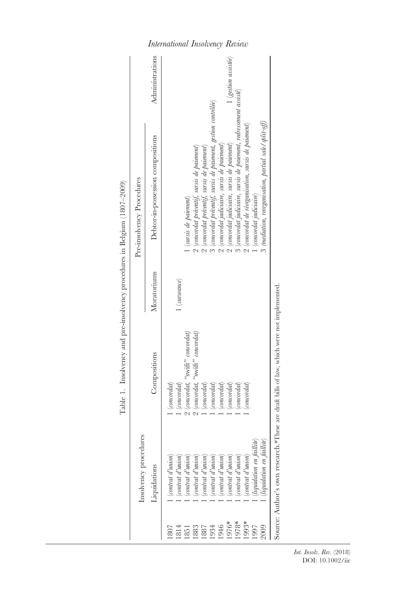|                | Insolvency procedures                                                 |                                                                          |                 | Pre-insolvency Procedures                                                                                                                                                                                                                  |                      |
|----------------|-----------------------------------------------------------------------|--------------------------------------------------------------------------|-----------------|--------------------------------------------------------------------------------------------------------------------------------------------------------------------------------------------------------------------------------------------|----------------------|
|                | Liquidations                                                          | Compositions                                                             | Moratoriums     | Debtor-in-possession compositions                                                                                                                                                                                                          | Administrations      |
| 1814<br>807    | $(contrat\ d'union)$<br>$(control\; d'union)$                         | $\sim$ (concordat)<br>$1$ (concordat)                                    | $1$ (surseance) |                                                                                                                                                                                                                                            |                      |
| 1883<br>1851   | contrat d'union<br>contrat d'union                                    | $2$ (concordat, "swift" concordat)<br>$2$ (concordat, "swift" concordat) |                 | $1$ (sursis de paiement)                                                                                                                                                                                                                   |                      |
| 1934<br>1887   | contrat d'union)                                                      | $1$ (concordat)                                                          |                 | 2 (concordat préventif, sursis de paiement)<br>2 (concordat préventif, sursis de paiement)<br>3 (concordat préventif, sursis de paiement, gestion contrôlée)<br>2 (concordat judiciaire, sursis de paiement)<br>2 (concordat judiciaire, s |                      |
| 1946           | (contrat d'union)                                                     | $\sim$ (concordat)<br>$\mid$ (concordat)                                 |                 |                                                                                                                                                                                                                                            |                      |
| 1976*          | $\begin{array}{c} (control~d'union) \\ (control~d'union) \end{array}$ | <i>concordat</i>                                                         |                 |                                                                                                                                                                                                                                            | 1 (gestion assistée) |
| 1978*<br>1993* | contrat d'union<br>contrat d'union                                    | $\perp$ (concordat)<br><i>concordat</i>                                  |                 |                                                                                                                                                                                                                                            |                      |
| 1997           | (liquidation en faillite)                                             |                                                                          |                 | 1 (concordat judiciaire)                                                                                                                                                                                                                   |                      |
| 2009           | (liquidation en faillite)                                             |                                                                          |                 | $3$ (mediation, reorganisation, partial sale/split-off)                                                                                                                                                                                    |                      |

*International Insolvency Review*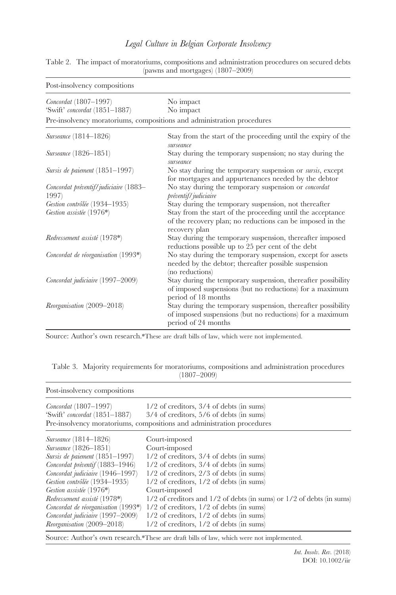| Post-insolvency compositions                                |                                                                                                                                                                                                  |  |  |  |
|-------------------------------------------------------------|--------------------------------------------------------------------------------------------------------------------------------------------------------------------------------------------------|--|--|--|
| Concordat (1807-1997)<br>'Swift' concordat (1851-1887)      | No impact<br>No impact<br>Pre-insolvency moratoriums, compositions and administration procedures                                                                                                 |  |  |  |
|                                                             |                                                                                                                                                                                                  |  |  |  |
| Surseance (1814-1826)                                       | Stay from the start of the proceeding until the expiry of the<br>surseance                                                                                                                       |  |  |  |
| <i>Surseance</i> (1826–1851)                                | Stay during the temporary suspension; no stay during the<br>surseance                                                                                                                            |  |  |  |
| Sursis de paiement $(1851-1997)$                            | No stay during the temporary suspension or <i>sursis</i> , except<br>for mortgages and appurtenances needed by the debtor                                                                        |  |  |  |
| Concordat préventif/judiciaire (1883-<br>1997)              | No stay during the temporary suspension or concordat<br>préventif/judiciaire                                                                                                                     |  |  |  |
| Gestion contrôlée (1934-1935)<br>Gestion assistée $(1976*)$ | Stay during the temporary suspension, not thereafter<br>Stay from the start of the proceeding until the acceptance<br>of the recovery plan; no reductions can be imposed in the<br>recovery plan |  |  |  |
| Redressement assisté (1978*)                                | Stay during the temporary suspension, thereafter imposed<br>reductions possible up to 25 per cent of the debt                                                                                    |  |  |  |
| Concordat de réorganisation (1993*)                         | No stay during the temporary suspension, except for assets<br>needed by the debtor; thereafter possible suspension<br>(no reductions)                                                            |  |  |  |
| Concordat judiciaire (1997-2009)                            | Stay during the temporary suspension, thereafter possibility<br>of imposed suspensions (but no reductions) for a maximum<br>period of 18 months                                                  |  |  |  |
| Reorganisation (2009-2018)                                  | Stay during the temporary suspension, thereafter possibility<br>of imposed suspensions (but no reductions) for a maximum<br>period of 24 months                                                  |  |  |  |

| Table 2. The impact of moratoriums, compositions and administration procedures on secured debts |                                     |  |  |
|-------------------------------------------------------------------------------------------------|-------------------------------------|--|--|
|                                                                                                 | (pawns and mortgages) $(1807-2009)$ |  |  |

Source: Author's own research.\*These are draft bills of law, which were not implemented.

Table 3. Majority requirements for moratoriums, compositions and administration procedures (1807–2009)

| Post-insolvency compositions                                                                                                                                                                                                                                                                                                                                                      |                                                                                                                                                                                                                                                                                                                                                                                                                                                                                |  |  |  |
|-----------------------------------------------------------------------------------------------------------------------------------------------------------------------------------------------------------------------------------------------------------------------------------------------------------------------------------------------------------------------------------|--------------------------------------------------------------------------------------------------------------------------------------------------------------------------------------------------------------------------------------------------------------------------------------------------------------------------------------------------------------------------------------------------------------------------------------------------------------------------------|--|--|--|
| Concordat (1807–1997)<br>'Swift' concordat $(1851-1887)$                                                                                                                                                                                                                                                                                                                          | $1/2$ of creditors, $3/4$ of debts (in sums)<br>$3/4$ of creditors, $5/6$ of debts (in sums)<br>Pre-insolvency moratoriums, compositions and administration procedures                                                                                                                                                                                                                                                                                                         |  |  |  |
| <i>Surseance</i> (1814–1826)<br><i>Surseance</i> (1826–1851)<br>Sursis de paiement $(1851-1997)$<br>Concordat préventif (1883-1946)<br>Concordat judiciaire (1946-1997)<br>Gestion contrôlée (1934-1935)<br>Gestion assistée $(1976*)$<br>Redressement assisté (1978*)<br>Concordat de réorganisation $(1993*)$<br>Concordat judiciaire (1997-2009)<br>Reorganisation (2009-2018) | Court-imposed<br>Court-imposed<br>$1/2$ of creditors, $3/4$ of debts (in sums)<br>$1/2$ of creditors, $3/4$ of debts (in sums)<br>$1/2$ of creditors, $2/3$ of debts (in sums)<br>$1/2$ of creditors, $1/2$ of debts (in sums)<br>Court-imposed<br>$1/2$ of creditors and $1/2$ of debts (in sums) or $1/2$ of debts (in sums)<br>$1/2$ of creditors, $1/2$ of debts (in sums)<br>$1/2$ of creditors, $1/2$ of debts (in sums)<br>$1/2$ of creditors, $1/2$ of debts (in sums) |  |  |  |

Source: Author's own research.\*These are draft bills of law, which were not implemented.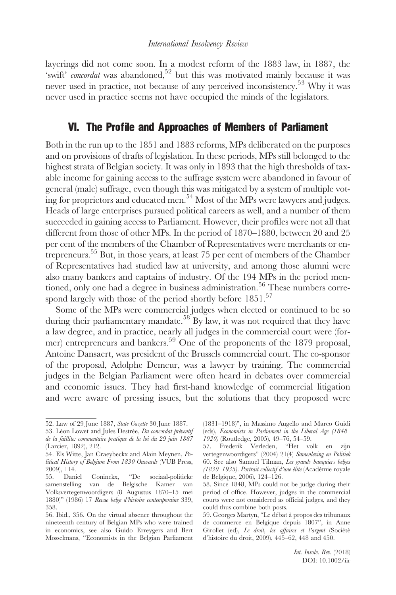layerings did not come soon. In a modest reform of the 1883 law, in 1887, the 'swift' *concordat* was abandoned,<sup>52</sup> but this was motivated mainly because it was never used in practice, not because of any perceived inconsistency.<sup>53</sup> Why it was never used in practice seems not have occupied the minds of the legislators.

# **VI. The Profile and Approaches of Members of Parliament**

Both in the run up to the 1851 and 1883 reforms, MPs deliberated on the purposes and on provisions of drafts of legislation. In these periods, MPs still belonged to the highest strata of Belgian society. It was only in 1893 that the high thresholds of taxable income for gaining access to the suffrage system were abandoned in favour of general (male) suffrage, even though this was mitigated by a system of multiple voting for proprietors and educated men.<sup>54</sup> Most of the MPs were lawyers and judges. Heads of large enterprises pursued political careers as well, and a number of them succeeded in gaining access to Parliament. However, their profiles were not all that different from those of other MPs. In the period of 1870–1880, between 20 and 25 per cent of the members of the Chamber of Representatives were merchants or entrepreneurs.<sup>55</sup> But, in those years, at least 75 per cent of members of the Chamber of Representatives had studied law at university, and among those alumni were also many bankers and captains of industry. Of the 194 MPs in the period mentioned, only one had a degree in business administration.<sup>56</sup> These numbers correspond largely with those of the period shortly before  $1851$ .<sup>57</sup>

Some of the MPs were commercial judges when elected or continued to be so during their parliamentary mandate.<sup>58</sup> By law, it was not required that they have a law degree, and in practice, nearly all judges in the commercial court were (former) entrepreneurs and bankers.<sup>59</sup> One of the proponents of the 1879 proposal, Antoine Dansaert, was president of the Brussels commercial court. The co-sponsor of the proposal, Adolphe Demeur, was a lawyer by training. The commercial judges in the Belgian Parliament were often heard in debates over commercial and economic issues. They had first-hand knowledge of commercial litigation and were aware of pressing issues, but the solutions that they proposed were

(1831–1918)", in Massimo Augello and Marco Guidi (eds), *Economists in Parliament in the Liberal Age (1848– 1920)* (Routledge, 2005), 49–76, 54–59.

<sup>52.</sup> Law of 29 June 1887, *State Gazette* 30 June 1887.

<sup>53.</sup> Léon Lowet and Jules Destrée, *Du concordat préventif de la faillite: commentaire pratique de la loi du 29 juin 1887* (Larcier, 1892), 212.

<sup>54.</sup> Els Witte, Jan Craeybeckx and Alain Meynen, *Political History of Belgium From 1830 Onwards* (VUB Press, 2009), 114.

<sup>55.</sup> Daniel Coninckx, "De sociaal-politieke samenstelling van de Belgische Kamer van Volksvertegenwoordigers (8 Augustus 1870–15 mei 1880)" (1986) 17 *Revue belge d'histoire contemporaine* 339, 358.

<sup>56.</sup> Ibid., 356. On the virtual absence throughout the nineteenth century of Belgian MPs who were trained in economics, see also Guido Erreygers and Bert Mosselmans, "Economists in the Belgian Parliament

<sup>57.</sup> Frederik Verleden, "Het volk en zijn vertegenwoordigers" (2004) 21(4) *Samenleving en Politiek* 60. See also Samuel Tilman, *Les grands banquiers belges (1830–1935). Portrait collectif d'une élite* (Académie royale de Belgique, 2006), 124–126.

<sup>58.</sup> Since 1848, MPs could not be judge during their period of office. However, judges in the commercial courts were not considered as official judges, and they could thus combine both posts.

<sup>59.</sup> Georges Martyn, "Le débat à propos des tribunaux de commerce en Belgique depuis 1807", in Anne Girollet (ed), *Le droit, les affaires et l'argent* (Société d'histoire du droit, 2009), 445–62, 448 and 450.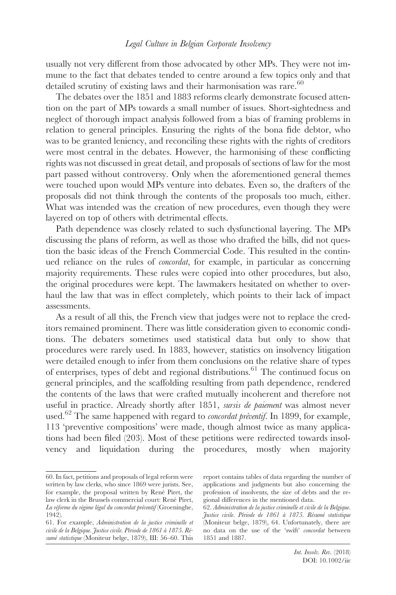usually not very different from those advocated by other MPs. They were not immune to the fact that debates tended to centre around a few topics only and that detailed scrutiny of existing laws and their harmonisation was rare.<sup>60</sup>

The debates over the 1851 and 1883 reforms clearly demonstrate focused attention on the part of MPs towards a small number of issues. Short-sightedness and neglect of thorough impact analysis followed from a bias of framing problems in relation to general principles. Ensuring the rights of the bona fide debtor, who was to be granted leniency, and reconciling these rights with the rights of creditors were most central in the debates. However, the harmonising of these conflicting rights was not discussed in great detail, and proposals of sections of law for the most part passed without controversy. Only when the aforementioned general themes were touched upon would MPs venture into debates. Even so, the drafters of the proposals did not think through the contents of the proposals too much, either. What was intended was the creation of new procedures, even though they were layered on top of others with detrimental effects.

Path dependence was closely related to such dysfunctional layering. The MPs discussing the plans of reform, as well as those who drafted the bills, did not question the basic ideas of the French Commercial Code. This resulted in the continued reliance on the rules of *concordat*, for example, in particular as concerning majority requirements. These rules were copied into other procedures, but also, the original procedures were kept. The lawmakers hesitated on whether to overhaul the law that was in effect completely, which points to their lack of impact assessments.

As a result of all this, the French view that judges were not to replace the creditors remained prominent. There was little consideration given to economic conditions. The debaters sometimes used statistical data but only to show that procedures were rarely used. In 1883, however, statistics on insolvency litigation were detailed enough to infer from them conclusions on the relative share of types of enterprises, types of debt and regional distributions.<sup>61</sup> The continued focus on general principles, and the scaffolding resulting from path dependence, rendered the contents of the laws that were crafted mutually incoherent and therefore not useful in practice. Already shortly after 1851, *sursis de paiement* was almost never used.<sup>62</sup> The same happened with regard to *concordat préventif*. In 1899, for example, 113 'preventive compositions' were made, though almost twice as many applications had been filed (203). Most of these petitions were redirected towards insolvency and liquidation during the procedures, mostly when majority

<sup>60.</sup> In fact, petitions and proposals of legal reform were written by law clerks, who since 1869 were jurists. See, for example, the proposal written by René Piret, the law clerk in the Brussels commercial court: René Piret, *La réforme du régime légal du concordat préventif* (Groeninghe, 1942).

<sup>61.</sup> For example, *Administration de la justice criminelle et civile de la Belgique. Justice civile. Période de 1861 à 1875. Résumé statistique* (Moniteur belge, 1879), III: 56–60. This

report contains tables of data regarding the number of applications and judgments but also concerning the profession of insolvents, the size of debts and the regional differences in the mentioned data.

<sup>62.</sup> *Administration de la justice criminelle et civile de la Belgique. Justice civile. Période de 1861 à 1875. Résumé statistique* (Moniteur belge, 1879), 64. Unfortunately, there are no data on the use of the 'swift' *concordat* between 1851 and 1887.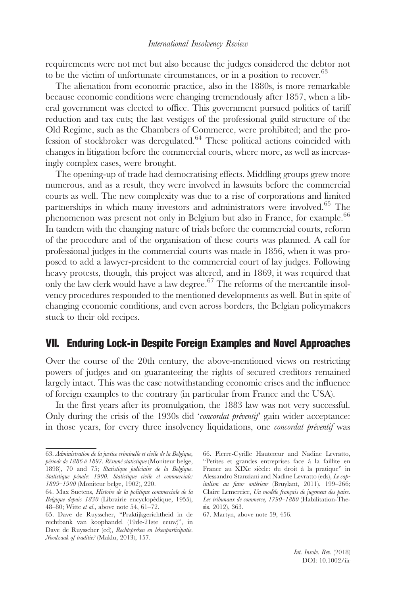requirements were not met but also because the judges considered the debtor not to be the victim of unfortunate circumstances, or in a position to recover.<sup>63</sup>

The alienation from economic practice, also in the 1880s, is more remarkable because economic conditions were changing tremendously after 1857, when a liberal government was elected to office. This government pursued politics of tariff reduction and tax cuts; the last vestiges of the professional guild structure of the Old Regime, such as the Chambers of Commerce, were prohibited; and the profession of stockbroker was deregulated.<sup>64</sup> These political actions coincided with changes in litigation before the commercial courts, where more, as well as increasingly complex cases, were brought.

The opening-up of trade had democratising effects. Middling groups grew more numerous, and as a result, they were involved in lawsuits before the commercial courts as well. The new complexity was due to a rise of corporations and limited partnerships in which many investors and administrators were involved.<sup>65</sup> The phenomenon was present not only in Belgium but also in France, for example.<sup>66</sup> In tandem with the changing nature of trials before the commercial courts, reform of the procedure and of the organisation of these courts was planned. A call for professional judges in the commercial courts was made in 1856, when it was proposed to add a lawyer-president to the commercial court of lay judges. Following heavy protests, though, this project was altered, and in 1869, it was required that only the law clerk would have a law degree.67 The reforms of the mercantile insolvency procedures responded to the mentioned developments as well. But in spite of changing economic conditions, and even across borders, the Belgian policymakers stuck to their old recipes.

# **VII. Enduring Lock-in Despite Foreign Examples and Novel Approaches**

Over the course of the 20th century, the above-mentioned views on restricting powers of judges and on guaranteeing the rights of secured creditors remained largely intact. This was the case notwithstanding economic crises and the influence of foreign examples to the contrary (in particular from France and the USA).

In the first years after its promulgation, the 1883 law was not very successful. Only during the crisis of the 1930s did '*concordat préventif*' gain wider acceptance: in those years, for every three insolvency liquidations, one *concordat préventif* was

<sup>63.</sup> *Administration de la justice criminelle et civile de la Belgique, période de 1886 à 1897. Résumé statistique* (Moniteur belge, 1898), 70 and 75; *Statistique judiciaire de la Belgique. Statistique pénale: 1900. Statistique civile et commerciale: 1899–1900* (Moniteur belge, 1902), 220.

<sup>64.</sup> Max Suetens, *Histoire de la politique commerciale de la Belgique depuis 1830* (Librairie encyclopédique, 1955), 48–80; Witte *et al.,* above note 54, 61–72.

<sup>65.</sup> Dave de Ruysscher, "Praktijkgerichtheid in de rechtbank van koophandel (19de-21ste eeuw)", in Dave de Ruysscher (ed), *Rechtspreken en lekenparticipatie. Noodzaak of traditie?* (Maklu, 2013), 157.

<sup>66.</sup> Pierre-Cyrille Hautcœur and Nadine Levratto, "Petites et grandes entreprises face à la faillite en France au XIXe siècle: du droit à la pratique" in Alessandro Stanziani and Nadine Levratto (eds), *Le capitalism au futur antérieur* (Bruylant, 2011), 199–266; Claire Lemercier, *Un modèle français de jugement des pairs. Les tribunaux de commerce, 1790–1880* (Habilitation-Thesis, 2012), 363.

<sup>67.</sup> Martyn, above note 59, 456.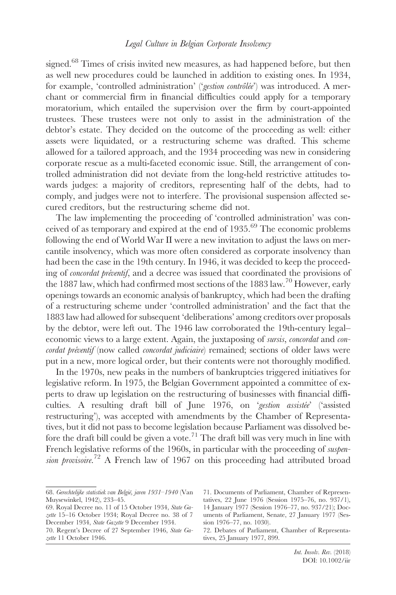signed.<sup>68</sup> Times of crisis invited new measures, as had happened before, but then as well new procedures could be launched in addition to existing ones. In 1934, for example, 'controlled administration' ('*gestion contrôlée*') was introduced. A merchant or commercial firm in financial difficulties could apply for a temporary moratorium, which entailed the supervision over the firm by court-appointed trustees. These trustees were not only to assist in the administration of the debtor's estate. They decided on the outcome of the proceeding as well: either assets were liquidated, or a restructuring scheme was drafted. This scheme allowed for a tailored approach, and the 1934 proceeding was new in considering corporate rescue as a multi-faceted economic issue. Still, the arrangement of controlled administration did not deviate from the long-held restrictive attitudes towards judges: a majority of creditors, representing half of the debts, had to comply, and judges were not to interfere. The provisional suspension affected secured creditors, but the restructuring scheme did not.

The law implementing the proceeding of 'controlled administration' was conceived of as temporary and expired at the end of 1935.69 The economic problems following the end of World War II were a new invitation to adjust the laws on mercantile insolvency, which was more often considered as corporate insolvency than had been the case in the 19th century. In 1946, it was decided to keep the proceeding of *concordat préventif*, and a decree was issued that coordinated the provisions of the 1887 law, which had confirmed most sections of the 1883 law.<sup>70</sup> However, early openings towards an economic analysis of bankruptcy, which had been the drafting of a restructuring scheme under 'controlled administration' and the fact that the 1883 law had allowed for subsequent 'deliberations' among creditors over proposals by the debtor, were left out. The 1946 law corroborated the 19th-century legal– economic views to a large extent. Again, the juxtaposing of *sursis*, *concordat* and *concordat préventif* (now called *concordat judiciaire*) remained; sections of older laws were put in a new, more logical order, but their contents were not thoroughly modified.

In the 1970s, new peaks in the numbers of bankruptcies triggered initiatives for legislative reform. In 1975, the Belgian Government appointed a committee of experts to draw up legislation on the restructuring of businesses with financial difficulties. A resulting draft bill of June 1976, on '*gestion assistée*' ('assisted restructuring'), was accepted with amendments by the Chamber of Representatives, but it did not pass to become legislation because Parliament was dissolved before the draft bill could be given a vote.<sup>71</sup> The draft bill was very much in line with French legislative reforms of the 1960s, in particular with the proceeding of *suspension provisoire*. <sup>72</sup> A French law of 1967 on this proceeding had attributed broad

<sup>68.</sup> *Gerechtelijke statistiek van België, jaren 1931–1940* (Van Muysewinkel, 1942), 233–45.

<sup>69.</sup> Royal Decree no. 11 of 15 October 1934, *State Gazette* 15–16 October 1934; Royal Decree no. 38 of 7 December 1934, *State Gazette* 9 December 1934. 70. Regent's Decree of 27 September 1946, *State Ga-*

*zette* 11 October 1946.

<sup>71.</sup> Documents of Parliament, Chamber of Representatives, 22 June 1976 (Session 1975–76, no. 937/1), 14 January 1977 (Session 1976–77, no. 937/21); Documents of Parliament, Senate, 27 January 1977 (Session 1976–77, no. 1030).

<sup>72.</sup> Debates of Parliament, Chamber of Representatives, 25 January 1977, 899.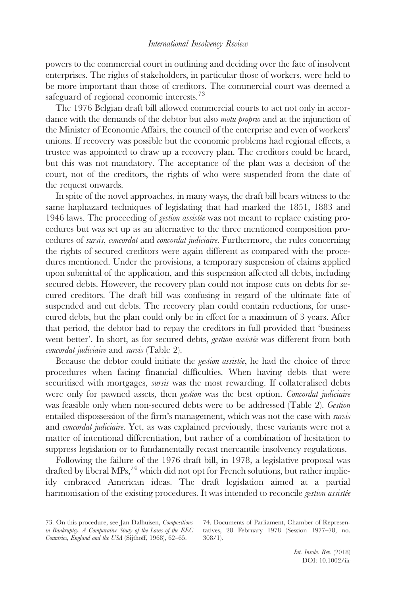powers to the commercial court in outlining and deciding over the fate of insolvent enterprises. The rights of stakeholders, in particular those of workers, were held to be more important than those of creditors. The commercial court was deemed a safeguard of regional economic interests.<sup>73</sup>

The 1976 Belgian draft bill allowed commercial courts to act not only in accordance with the demands of the debtor but also *motu proprio* and at the injunction of the Minister of Economic Affairs, the council of the enterprise and even of workers' unions. If recovery was possible but the economic problems had regional effects, a trustee was appointed to draw up a recovery plan. The creditors could be heard, but this was not mandatory. The acceptance of the plan was a decision of the court, not of the creditors, the rights of who were suspended from the date of the request onwards.

In spite of the novel approaches, in many ways, the draft bill bears witness to the same haphazard techniques of legislating that had marked the 1851, 1883 and 1946 laws. The proceeding of *gestion assistée* was not meant to replace existing procedures but was set up as an alternative to the three mentioned composition procedures of *sursis*, *concordat* and *concordat judiciaire*. Furthermore, the rules concerning the rights of secured creditors were again different as compared with the procedures mentioned. Under the provisions, a temporary suspension of claims applied upon submittal of the application, and this suspension affected all debts, including secured debts. However, the recovery plan could not impose cuts on debts for secured creditors. The draft bill was confusing in regard of the ultimate fate of suspended and cut debts. The recovery plan could contain reductions, for unsecured debts, but the plan could only be in effect for a maximum of 3 years. After that period, the debtor had to repay the creditors in full provided that 'business went better'. In short, as for secured debts, *gestion assistée* was different from both *concordat judiciaire* and *sursis* (Table 2).

Because the debtor could initiate the *gestion assistée*, he had the choice of three procedures when facing financial difficulties. When having debts that were securitised with mortgages, *sursis* was the most rewarding. If collateralised debts were only for pawned assets, then *gestion* was the best option. *Concordat judiciaire* was feasible only when non-secured debts were to be addressed (Table 2). *Gestion* entailed dispossession of the firm's management, which was not the case with *sursis* and *concordat judiciaire*. Yet, as was explained previously, these variants were not a matter of intentional differentiation, but rather of a combination of hesitation to suppress legislation or to fundamentally recast mercantile insolvency regulations.

Following the failure of the 1976 draft bill, in 1978, a legislative proposal was drafted by liberal  $MPs$ ,  $^{74}$  which did not opt for French solutions, but rather implicitly embraced American ideas. The draft legislation aimed at a partial harmonisation of the existing procedures. It was intended to reconcile *gestion assistée*

74. Documents of Parliament, Chamber of Representatives, 28 February 1978 (Session 1977–78, no. 308/1).

<sup>73.</sup> On this procedure, see Jan Dalhuisen, *Compositions in Bankruptcy. A Comparative Study of the Laws of the EEC Countries, England and the USA* (Sijthoff, 1968), 62–65.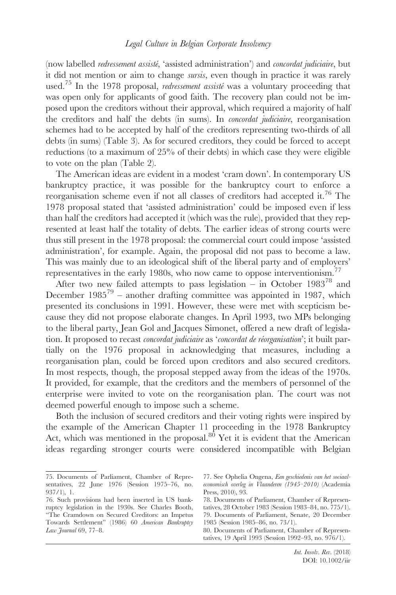(now labelled *redressement assisté,* 'assisted administration') and *concordat judiciaire*, but it did not mention or aim to change *sursis*, even though in practice it was rarely used.<sup>75</sup> In the 1978 proposal, *redressement assisté* was a voluntary proceeding that was open only for applicants of good faith. The recovery plan could not be imposed upon the creditors without their approval, which required a majority of half the creditors and half the debts (in sums). In *concordat judiciaire*, reorganisation schemes had to be accepted by half of the creditors representing two-thirds of all debts (in sums) (Table 3). As for secured creditors, they could be forced to accept reductions (to a maximum of 25% of their debts) in which case they were eligible to vote on the plan (Table 2).

The American ideas are evident in a modest 'cram down'. In contemporary US bankruptcy practice, it was possible for the bankruptcy court to enforce a reorganisation scheme even if not all classes of creditors had accepted it.76 The 1978 proposal stated that 'assisted administration' could be imposed even if less than half the creditors had accepted it (which was the rule), provided that they represented at least half the totality of debts. The earlier ideas of strong courts were thus still present in the 1978 proposal: the commercial court could impose 'assisted administration', for example. Again, the proposal did not pass to become a law. This was mainly due to an ideological shift of the liberal party and of employers' representatives in the early 1980s, who now came to oppose interventionism.<sup>77</sup>

After two new failed attempts to pass legislation – in October 1983<sup>78</sup> and December  $1985^{79}$  – another drafting committee was appointed in 1987, which presented its conclusions in 1991. However, these were met with scepticism because they did not propose elaborate changes. In April 1993, two MPs belonging to the liberal party, Jean Gol and Jacques Simonet, offered a new draft of legislation. It proposed to recast *concordat judiciaire* as '*concordat de réorganisation*'; it built partially on the 1976 proposal in acknowledging that measures, including a reorganisation plan, could be forced upon creditors and also secured creditors. In most respects, though, the proposal stepped away from the ideas of the 1970s. It provided, for example, that the creditors and the members of personnel of the enterprise were invited to vote on the reorganisation plan. The court was not deemed powerful enough to impose such a scheme.

Both the inclusion of secured creditors and their voting rights were inspired by the example of the American Chapter 11 proceeding in the 1978 Bankruptcy Act, which was mentioned in the proposal. $80$  Yet it is evident that the American ideas regarding stronger courts were considered incompatible with Belgian

<sup>75.</sup> Documents of Parliament, Chamber of Representatives, 22 June 1976 (Session 1975–76, no. 937/1), 1.

<sup>76.</sup> Such provisions had been inserted in US bankruptcy legislation in the 1930s. See Charles Booth, "The Cramdown on Secured Creditors: an Impetus Towards Settlement" (1986) 60 *American Bankruptcy Law Journal* 69, 77–8.

<sup>77.</sup> See Ophelia Ongena, *Een geschiedenis van het sociaaleconomisch overleg in Vlaanderen (1945–2010)* (Academia Press, 2010), 93.

<sup>78.</sup> Documents of Parliament, Chamber of Representatives, 28 October 1983 (Session 1983–84, no. 775/1). 79. Documents of Parliament, Senate, 20 December 1985 (Session 1985–86, no. 73/1).

<sup>80.</sup> Documents of Parliament, Chamber of Representatives, 19 April 1993 (Session 1992–93, no. 976/1).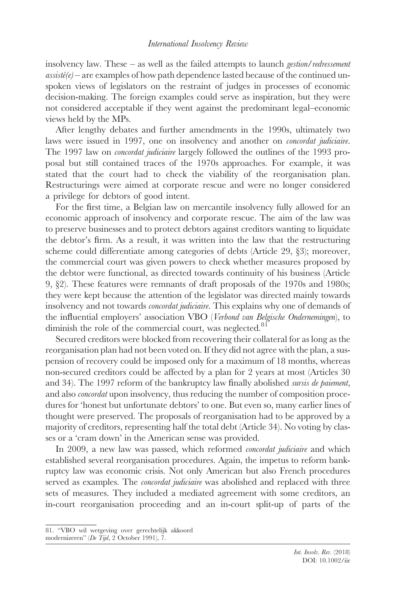insolvency law. These – as well as the failed attempts to launch *gestion/redressement assisté(e)* – are examples of how path dependence lasted because of the continued unspoken views of legislators on the restraint of judges in processes of economic decision-making. The foreign examples could serve as inspiration, but they were not considered acceptable if they went against the predominant legal–economic views held by the MPs.

After lengthy debates and further amendments in the 1990s, ultimately two laws were issued in 1997, one on insolvency and another on *concordat judiciaire*. The 1997 law on *concordat judiciaire* largely followed the outlines of the 1993 proposal but still contained traces of the 1970s approaches. For example, it was stated that the court had to check the viability of the reorganisation plan. Restructurings were aimed at corporate rescue and were no longer considered a privilege for debtors of good intent.

For the first time, a Belgian law on mercantile insolvency fully allowed for an economic approach of insolvency and corporate rescue. The aim of the law was to preserve businesses and to protect debtors against creditors wanting to liquidate the debtor's firm. As a result, it was written into the law that the restructuring scheme could differentiate among categories of debts (Article 29, §3); moreover, the commercial court was given powers to check whether measures proposed by the debtor were functional, as directed towards continuity of his business (Article 9, §2). These features were remnants of draft proposals of the 1970s and 1980s; they were kept because the attention of the legislator was directed mainly towards insolvency and not towards *concordat judiciaire*. This explains why one of demands of the influential employers' association VBO (*Verbond van Belgische Ondernemingen*), to diminish the role of the commercial court, was neglected.<sup>81</sup>

Secured creditors were blocked from recovering their collateral for as long as the reorganisation plan had not been voted on. If they did not agree with the plan, a suspension of recovery could be imposed only for a maximum of 18 months, whereas non-secured creditors could be affected by a plan for 2 years at most (Articles 30 and 34). The 1997 reform of the bankruptcy law finally abolished *sursis de paiement*, and also *concordat* upon insolvency, thus reducing the number of composition procedures for 'honest but unfortunate debtors' to one. But even so, many earlier lines of thought were preserved. The proposals of reorganisation had to be approved by a majority of creditors, representing half the total debt (Article 34). No voting by classes or a 'cram down' in the American sense was provided.

In 2009, a new law was passed, which reformed *concordat judiciaire* and which established several reorganisation procedures. Again, the impetus to reform bankruptcy law was economic crisis. Not only American but also French procedures served as examples. The *concordat judiciaire* was abolished and replaced with three sets of measures. They included a mediated agreement with some creditors, an in-court reorganisation proceeding and an in-court split-up of parts of the

<sup>81.</sup> "VBO wil wetgeving over gerechtelijk akkoord modernizeren" (*De Tijd*, 2 October 1991), 7.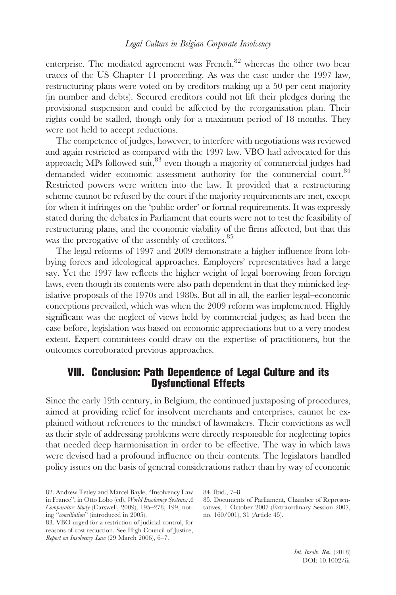enterprise. The mediated agreement was French, $82$  whereas the other two bear traces of the US Chapter 11 proceeding. As was the case under the 1997 law, restructuring plans were voted on by creditors making up a 50 per cent majority (in number and debts). Secured creditors could not lift their pledges during the provisional suspension and could be affected by the reorganisation plan. Their rights could be stalled, though only for a maximum period of 18 months. They were not held to accept reductions.

The competence of judges, however, to interfere with negotiations was reviewed and again restricted as compared with the 1997 law. VBO had advocated for this approach; MPs followed suit, $83$  even though a majority of commercial judges had demanded wider economic assessment authority for the commercial court.<sup>84</sup> Restricted powers were written into the law. It provided that a restructuring scheme cannot be refused by the court if the majority requirements are met, except for when it infringes on the 'public order' or formal requirements. It was expressly stated during the debates in Parliament that courts were not to test the feasibility of restructuring plans, and the economic viability of the firms affected, but that this was the prerogative of the assembly of creditors.<sup>85</sup>

The legal reforms of 1997 and 2009 demonstrate a higher influence from lobbying forces and ideological approaches. Employers' representatives had a large say. Yet the 1997 law reflects the higher weight of legal borrowing from foreign laws, even though its contents were also path dependent in that they mimicked legislative proposals of the 1970s and 1980s. But all in all, the earlier legal–economic conceptions prevailed, which was when the 2009 reform was implemented. Highly significant was the neglect of views held by commercial judges; as had been the case before, legislation was based on economic appreciations but to a very modest extent. Expert committees could draw on the expertise of practitioners, but the outcomes corroborated previous approaches.

# **VIII. Conclusion: Path Dependence of Legal Culture and its Dysfunctional Effects**

Since the early 19th century, in Belgium, the continued juxtaposing of procedures, aimed at providing relief for insolvent merchants and enterprises, cannot be explained without references to the mindset of lawmakers. Their convictions as well as their style of addressing problems were directly responsible for neglecting topics that needed deep harmonisation in order to be effective. The way in which laws were devised had a profound influence on their contents. The legislators handled policy issues on the basis of general considerations rather than by way of economic

84. Ibid., 7–8.

<sup>82.</sup> Andrew Tetley and Marcel Bayle, "Insolvency Law in France", in Otto Lobo (ed), *World Insolvency Systems: A Comparative Study* (Carswell, 2009), 195–278, 199, noting "*conciliation*" (introduced in 2005).

<sup>83.</sup> VBO urged for a restriction of judicial control, for reasons of cost reduction. See High Council of Justice, *Report on Insolvency Law* (29 March 2006), 6–7.

<sup>85.</sup> Documents of Parliament, Chamber of Representatives, 1 October 2007 (Extraordinary Session 2007, no. 160/001), 31 (Article 45).